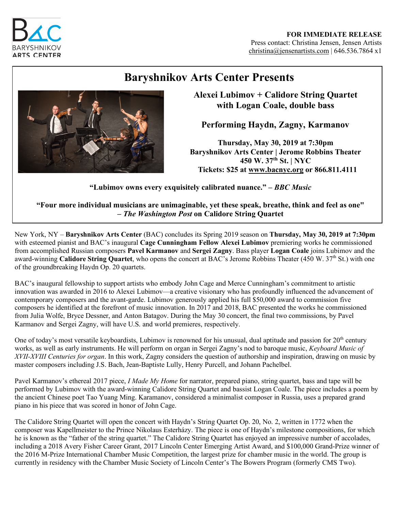

## **FOR IMMEDIATE RELEASE** Press contact: Christina Jensen, Jensen Artists christina@jensenartists.com | 646.536.7864 x1

# **Baryshnikov Arts Center Presents**



**Alexei Lubimov + Calidore String Quartet with Logan Coale, double bass**

**Performing Haydn, Zagny, Karmanov**

**Thursday, May 30, 2019 at 7:30pm Baryshnikov Arts Center | Jerome Robbins Theater 450 W. 37th St. | NYC Tickets: \$25 at www.bacnyc.org or 866.811.4111**

**"Lubimov owns every exquisitely calibrated nuance." –** *BBC Music*

**"Four more individual musicians are unimaginable, yet these speak, breathe, think and feel as one" –** *The Washington Post* **on Calidore String Quartet**

New York, NY – **Baryshnikov Arts Center** (BAC) concludes its Spring 2019 season on **Thursday, May 30, 2019 at 7:30pm** with esteemed pianist and BAC's inaugural **Cage Cunningham Fellow Alexei Lubimov** premiering works he commissioned from accomplished Russian composers **Pavel Karmanov** and **Sergei Zagny**. Bass player **Logan Coale** joins Lubimov and the award-winning **Calidore String Quartet**, who opens the concert at BAC's Jerome Robbins Theater (450 W. 37<sup>th</sup> St.) with one of the groundbreaking Haydn Op. 20 quartets.

BAC's inaugural fellowship to support artists who embody John Cage and Merce Cunningham's commitment to artistic innovation was awarded in 2016 to Alexei Lubimov—a creative visionary who has profoundly influenced the advancement of contemporary composers and the avant-garde. Lubimov generously applied his full \$50,000 award to commission five composers he identified at the forefront of music innovation. In 2017 and 2018, BAC presented the works he commissioned from Julia Wolfe, Bryce Dessner, and Anton Batagov. During the May 30 concert, the final two commissions, by Pavel Karmanov and Sergei Zagny, will have U.S. and world premieres, respectively.

One of today's most versatile keyboardists, Lubimov is renowned for his unusual, dual aptitude and passion for 20<sup>th</sup> century works, as well as early instruments. He will perform on organ in Sergei Zagny's nod to baroque music, *Keyboard Music of XVII-XVIII Centuries for organ*. In this work, Zagny considers the question of authorship and inspiration, drawing on music by master composers including J.S. Bach, Jean-Baptiste Lully, Henry Purcell, and Johann Pachelbel.

Pavel Karmanov's ethereal 2017 piece, *I Made My Home* for narrator, prepared piano, string quartet, bass and tape will be performed by Lubimov with the award-winning Calidore String Quartet and bassist Logan Coale. The piece includes a poem by the ancient Chinese poet Tao Yuang Ming. Karamanov, considered a minimalist composer in Russia, uses a prepared grand piano in his piece that was scored in honor of John Cage.

The Calidore String Quartet will open the concert with Haydn's String Quartet Op. 20, No. 2, written in 1772 when the composer was Kapellmeister to the Prince Nikolaus Esterházy. The piece is one of Haydn's milestone compositions, for which he is known as the "father of the string quartet." The Calidore String Quartet has enjoyed an impressive number of accolades, including a 2018 Avery Fisher Career Grant, 2017 Lincoln Center Emerging Artist Award, and \$100,000 Grand-Prize winner of the 2016 M-Prize International Chamber Music Competition, the largest prize for chamber music in the world. The group is currently in residency with the Chamber Music Society of Lincoln Center's The Bowers Program (formerly CMS Two).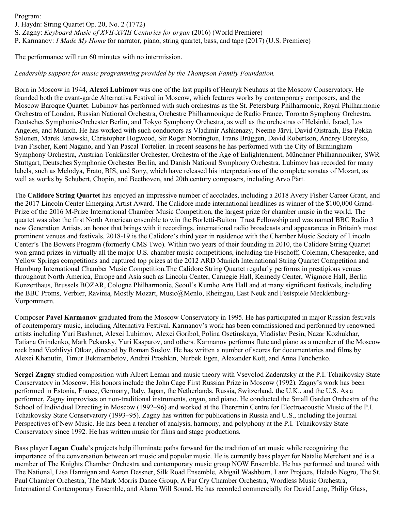Program:

- J. Haydn: String Quartet Op. 20, No. 2 (1772)
- S. Zagny: *Keyboard Music of XVII-XVIII Centuries for organ* (2016) (World Premiere)
- P. Karmanov: *I Made My Home* for narrator, piano, string quartet, bass, and tape (2017) (U.S. Premiere)

The performance will run 60 minutes with no intermission.

### *Leadership support for music programming provided by the Thompson Family Foundation.*

Born in Moscow in 1944, **Alexei Lubimov** was one of the last pupils of Henryk Neuhaus at the Moscow Conservatory. He founded both the avant-garde Alternativa Festival in Moscow, which features works by contemporary composers, and the Moscow Baroque Quartet. Lubimov has performed with such orchestras as the St. Petersburg Philharmonic, Royal Philharmonic Orchestra of London, Russian National Orchestra, Orchestre Philharmonique de Radio France, Toronto Symphony Orchestra, Deutsches Symphonie-Orchester Berlin, and Tokyo Symphony Orchestra, as well as the orchestras of Helsinki, Israel, Los Angeles, and Munich. He has worked with such conductors as Vladimir Ashkenazy, Neeme Järvi, David Oistrakh, Esa-Pekka Salonen, Marek Janowski, Christopher Hogwood, Sir Roger Norrington, Frans Brüggen, David Robertson, Andrey Boreyko, Ivan Fischer, Kent Nagano, and Yan Pascal Tortelier. In recent seasons he has performed with the City of Birmingham Symphony Orchestra, Austrian Tonkünstler Orchester, Orchestra of the Age of Enlightenment, Münchner Philharmoniker, SWR Stuttgart, Deutsches Symphonie Orchester Berlin, and Danish National Symphony Orchestra. Lubimov has recorded for many labels, such as Melodya, Erato, BIS, and Sony, which have released his interpretations of the complete sonatas of Mozart, as well as works by Schubert, Chopin, and Beethoven, and 20th century composers, including Arvo Pärt.

The **Calidore String Quartet** has enjoyed an impressive number of accolades, including a 2018 Avery Fisher Career Grant, and the 2017 Lincoln Center Emerging Artist Award. The Calidore made international headlines as winner of the \$100,000 Grand-Prize of the 2016 M-Prize International Chamber Music Competition, the largest prize for chamber music in the world. The quartet was also the first North American ensemble to win the Borletti-Buitoni Trust Fellowship and was named BBC Radio 3 new Generation Artists, an honor that brings with it recordings, international radio broadcasts and appearances in Britain's most prominent venues and festivals. 2018-19 is the Calidore's third year in residence with the Chamber Music Society of Lincoln Center's The Bowers Program (formerly CMS Two). Within two years of their founding in 2010, the Calidore String Quartet won grand prizes in virtually all the major U.S. chamber music competitions, including the Fischoff, Coleman, Chesapeake, and Yellow Springs competitions and captured top prizes at the 2012 ARD Munich International String Quartet Competition and Hamburg International Chamber Music Competition.The Calidore String Quartet regularly performs in prestigious venues throughout North America, Europe and Asia such as Lincoln Center, Carnegie Hall, Kennedy Center, Wigmore Hall, Berlin Konzerthaus, Brussels BOZAR, Cologne Philharmonie, Seoul's Kumho Arts Hall and at many significant festivals, including the BBC Proms, Verbier, Ravinia, Mostly Mozart, Music@Menlo, Rheingau, East Neuk and Festspiele Mecklenburg-Vorpommern.

Composer **Pavel Karmanov** graduated from the Moscow Conservatory in 1995. He has participated in major Russian festivals of contemporary music, including Alternativa Festival. Karmanov's work has been commissioned and performed by renowned artists including Yuri Bashmet, Alexei Lubimov, Alexei Goribol, Polina Osetinskaya, Vladislav Pesin, Nazar Kozhukhar, Tatiana Grindenko, Mark Pekarsky, Yuri Kasparov, and others. Karmanov performs flute and piano as a member of the Moscow rock band Vezhlivyi Otkaz, directed by Roman Suslov. He has written a number of scores for documentaries and films by Alexei Khanutin, Timur Bekmambetov, Andrei Proshkin, Nurbek Egen, Alexander Kott, and Anna Fenchenko.

**Sergei Zagny** studied composition with Albert Leman and music theory with Vsevolod Zaderatsky at the P.I. Tchaikovsky State Conservatory in Moscow. His honors include the John Cage First Russian Prize in Moscow (1992). Zagny's work has been performed in Estonia, France, Germany, Italy, Japan, the Netherlands, Russia, Switzerland, the U.K., and the U.S. As a performer, Zagny improvises on non-traditional instruments, organ, and piano. He conducted the Small Garden Orchestra of the School of Individual Directing in Moscow (1992–96) and worked at the Theremin Centre for Electroacoustic Music of the P.I. Tchaikovsky State Conservatory (1993–95). Zagny has written for publications in Russia and U.S., including the journal Perspectives of New Music. He has been a teacher of analysis, harmony, and polyphony at the P.I. Tchaikovsky State Conservatory since 1992. He has written music for films and stage productions.

Bass player **Logan Coale**'s projects help illuminate paths forward for the tradition of art music while recognizing the importance of the conversation between art music and popular music. He is currently bass player for Natalie Merchant and is a member of The Knights Chamber Orchestra and contemporary music group NOW Ensemble. He has performed and toured with The National, Lisa Hannigan and Aaron Dessner, Silk Road Ensemble, Abigail Washburn, Lanz Projects, Helado Negro, The St. Paul Chamber Orchestra, The Mark Morris Dance Group, A Far Cry Chamber Orchestra, Wordless Music Orchestra, International Contemporary Ensemble, and Alarm Will Sound. He has recorded commercially for David Lang, Philip Glass,